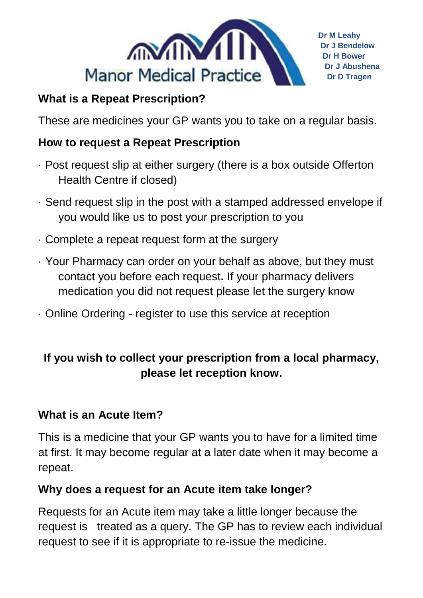

## **What is a Repeat Prescription?**

These are medicines your GP wants you to take on a regular basis.

## **How to request a Repeat Prescription**

- · Post request slip at either surgery (there is a box outside Offerton Health Centre if closed)
- · Send request slip in the post with a stamped addressed envelope if you would like us to post your prescription to you
- · Complete a repeat request form at the surgery
- · Your Pharmacy can order on your behalf as above, but they must contact you before each request**.** If your pharmacy delivers medication you did not request please let the surgery know
- · Online Ordering register to use this service at reception

# **If you wish to collect your prescription from a local pharmacy, please let reception know.**

#### **What is an Acute Item?**

This is a medicine that your GP wants you to have for a limited time at first. It may become regular at a later date when it may become a repeat.

## **Why does a request for an Acute item take longer?**

Requests for an Acute item may take a little longer because the request is treated as a query. The GP has to review each individual request to see if it is appropriate to re-issue the medicine.